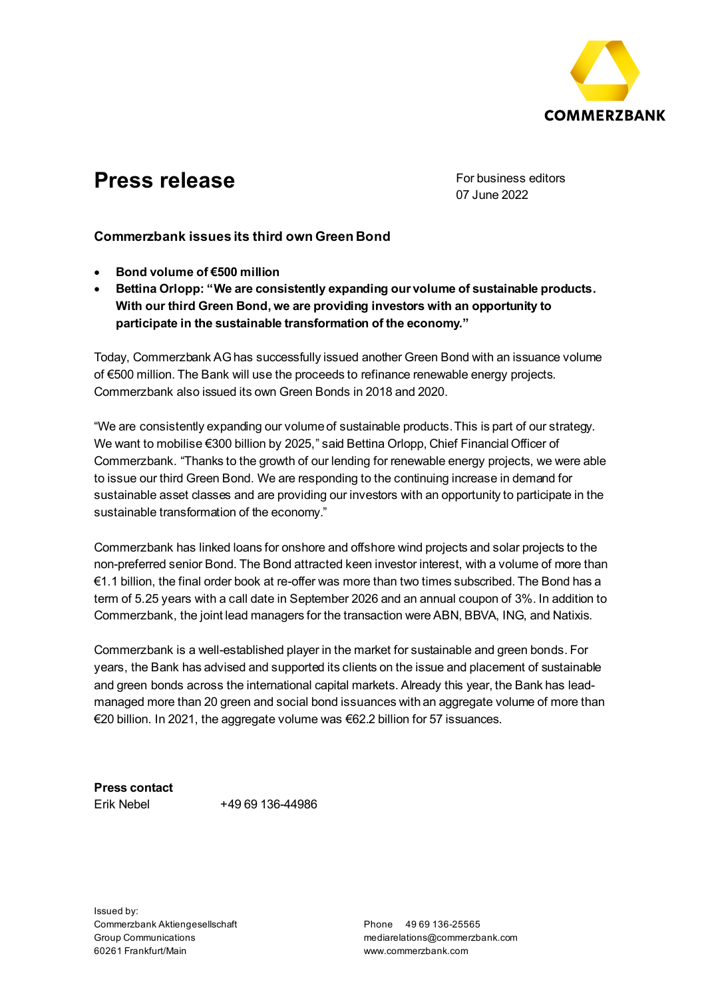

## **Press release** For business editors

07 June 2022

## **Commerzbank issues its third own Green Bond**

- **Bond volume of €500 million**
- **Bettina Orlopp: "We are consistently expanding our volume of sustainable products. With our third Green Bond, we are providing investors with an opportunity to participate in the sustainable transformation of the economy."**

Today, Commerzbank AG has successfully issued another Green Bond with an issuance volume of €500 million. The Bank will use the proceeds to refinance renewable energy projects. Commerzbank also issued its own Green Bonds in 2018 and 2020.

"We are consistently expanding our volume of sustainable products. This is part of our strategy. We want to mobilise €300 billion by 2025," said Bettina Orlopp, Chief Financial Officer of Commerzbank. "Thanks to the growth of our lending for renewable energy projects, we were able to issue our third Green Bond. We are responding to the continuing increase in demand for sustainable asset classes and are providing our investors with an opportunity to participate in the sustainable transformation of the economy."

Commerzbank has linked loans for onshore and offshore wind projects and solar projects to the non-preferred senior Bond. The Bond attracted keen investor interest, with a volume of more than €1.1 billion, the final order book at re-offer was more than two times subscribed. The Bond has a term of 5.25 years with a call date in September 2026 and an annual coupon of 3%. In addition to Commerzbank, the joint lead managers for the transaction were ABN, BBVA, ING, and Natixis.

Commerzbank is a well-established player in the market for sustainable and green bonds. For years, the Bank has advised and supported its clients on the issue and placement of sustainable and green bonds across the international capital markets. Already this year, the Bank has leadmanaged more than 20 green and social bond issuances with an aggregate volume of more than €20 billion. In 2021, the aggregate volume was €62.2 billion for 57 issuances.

**Press contact**  Erik Nebel +49 69 136-44986

Issued by: Commerzbank Aktiengesellschaft Group Communications 60261 Frankfurt/Main

Phone 49 69 136-25565 mediarelations@commerzbank.com www.commerzbank.com